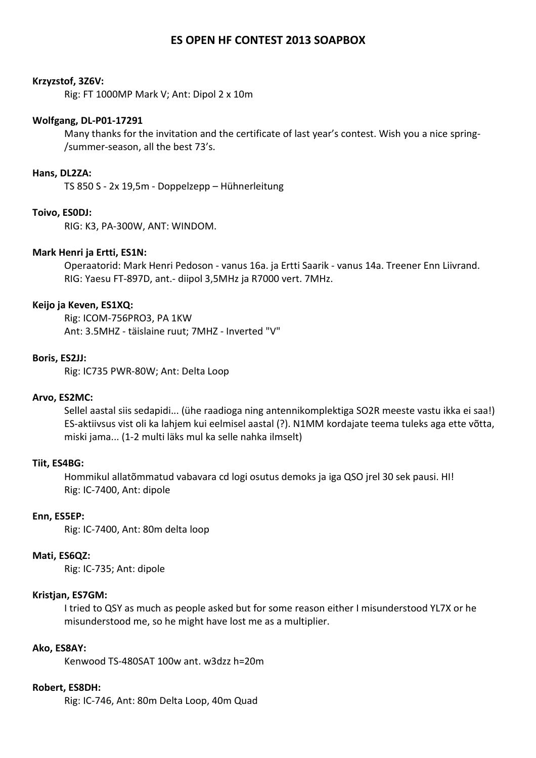# **ES OPEN HF CONTEST 2013 SOAPBOX**

#### **Krzyzstof, 3Z6V:**

Rig: FT 1000MP Mark V; Ant: Dipol 2 x 10m

#### **Wolfgang, DL-P01-17291**

Many thanks for the invitation and the certificate of last year's contest. Wish you a nice spring- /summer-season, all the best 73's.

### **Hans, DL2ZA:**

TS 850 S - 2x 19,5m - Doppelzepp – Hühnerleitung

### **Toivo, ES0DJ:**

RIG: K3, PA-300W, ANT: WINDOM.

### **Mark Henri ja Ertti, ES1N:**

Operaatorid: Mark Henri Pedoson - vanus 16a. ja Ertti Saarik - vanus 14a. Treener Enn Liivrand. RIG: Yaesu FT-897D, ant.- diipol 3,5MHz ja R7000 vert. 7MHz.

#### **Keijo ja Keven, ES1XQ:**

Rig: ICOM-756PRO3, PA 1KW Ant: 3.5MHZ - täislaine ruut; 7MHZ - Inverted "V"

#### **Boris, ES2JJ:**

Rig: IC735 PWR-80W; Ant: Delta Loop

#### **Arvo, ES2MC:**

Sellel aastal siis sedapidi... (ühe raadioga ning antennikomplektiga SO2R meeste vastu ikka ei saa!) ES-aktiivsus vist oli ka lahjem kui eelmisel aastal (?). N1MM kordajate teema tuleks aga ette võtta, miski jama... (1-2 multi läks mul ka selle nahka ilmselt)

#### **Tiit, ES4BG:**

Hommikul allatõmmatud vabavara cd logi osutus demoks ja iga QSO jrel 30 sek pausi. HI! Rig: IC-7400, Ant: dipole

### **Enn, ES5EP:**

Rig: IC-7400, Ant: 80m delta loop

# **Mati, ES6QZ:**

Rig: IC-735; Ant: dipole

# **Kristjan, ES7GM:**

I tried to QSY as much as people asked but for some reason either I misunderstood YL7X or he misunderstood me, so he might have lost me as a multiplier.

### **Ako, ES8AY:**

Kenwood TS-480SAT 100w ant. w3dzz h=20m

### **Robert, ES8DH:**

Rig: IC-746, Ant: 80m Delta Loop, 40m Quad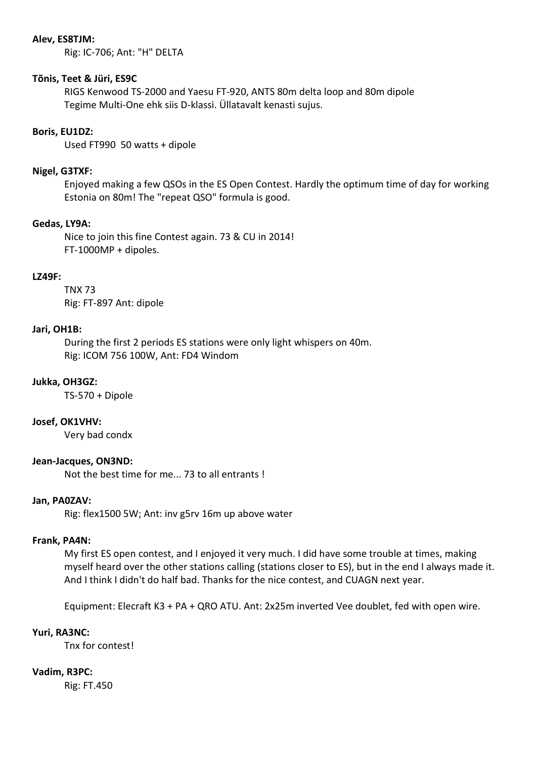### **Alev, ES8TJM:**

Rig: IC-706; Ant: "H" DELTA

### **Tõnis, Teet & Jüri, ES9C**

RIGS Kenwood TS-2000 and Yaesu FT-920, ANTS 80m delta loop and 80m dipole Tegime Multi-One ehk siis D-klassi. Üllatavalt kenasti sujus.

# **Boris, EU1DZ:**

Used FT990 50 watts + dipole

## **Nigel, G3TXF:**

Enjoyed making a few QSOs in the ES Open Contest. Hardly the optimum time of day for working Estonia on 80m! The "repeat QSO" formula is good.

# **Gedas, LY9A:**

Nice to join this fine Contest again. 73 & CU in 2014! FT-1000MP + dipoles.

# **LZ49F:**

TNX 73 Rig: FT-897 Ant: dipole

### **Jari, OH1B:**

During the first 2 periods ES stations were only light whispers on 40m. Rig: ICOM 756 100W, Ant: FD4 Windom

# **Jukka, OH3GZ:**

TS-570 + Dipole

# **Josef, OK1VHV:**

Very bad condx

# **Jean-Jacques, ON3ND:**

Not the best time for me... 73 to all entrants !

# **Jan, PA0ZAV:**

Rig: flex1500 5W; Ant: inv g5rv 16m up above water

### **Frank, PA4N:**

My first ES open contest, and I enjoyed it very much. I did have some trouble at times, making myself heard over the other stations calling (stations closer to ES), but in the end I always made it. And I think I didn't do half bad. Thanks for the nice contest, and CUAGN next year.

Equipment: Elecraft K3 + PA + QRO ATU. Ant: 2x25m inverted Vee doublet, fed with open wire.

### **Yuri, RA3NC:**

Tnx for contest!

### **Vadim, R3PC:**

Rig: FT.450